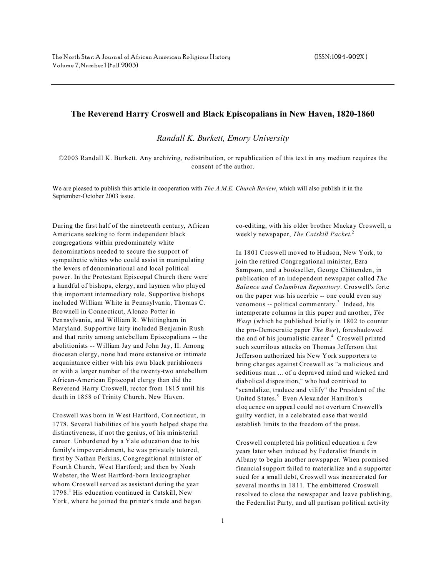## **The Reverend Harry Croswell and Black Episcopalians in New Haven, 1820-1860**

*Randall K. Burkett, Emory University*

©2003 Randall K. Burkett. Any archiving, redistribution, or republication of this text in any medium requires the consent of the author.

We are pleased to publish this article in cooperation with *The A.M.E. Church Review*, which will also publish it in the September-October 2003 issue.

During the first half of the nineteenth century, African Americans seeking to form independent black congregations within predominately white denominations needed to secure the support of sympathetic whites who could assist in manipulating the levers of denominational and local political power. In the Protestant Episcopal Church there were a handful of bishops, clergy, and laymen who played this important intermediary role. Supportive bishops included William White in Pennsylvania, Thomas C. Brownell in Connecticut, Alonzo Potter in Pennsylvania, and William R. Whittingham in Maryland. Supportive laity included Benjamin Rush and that rarity among antebellum Episcopalians -- the abolitionists -- William Jay and John Jay, II. Among diocesan clergy, none had more extensive or intimate acquaintance either with his own black parishioners or with a larger number of the twenty-two antebellum African-American Episcopal clergy than did the Reverend Harry Croswell, rector from 1815 until his death in 1858 of Trinity Church, New Haven.

Croswell was born in West Hartford, Connecticut, in 1778. Several liabilities of his youth helped shape the distinctiveness, if not the genius, of his ministerial career. Unburdened by a Yale education due to his family's impoverishment, he was privately tutored, first by Nathan Perkins, Congregational minister of Fourth Church, West Hartford; and then by Noah Webster, the West Hartford-born lexicographer whom Croswell served as assistant during the year 1798.<sup>1</sup> His education continued in Catskill, New York, where he joined the printer's trade and began

co-editing, with his older brother Mackay Croswell, a weekly newspaper, *The Catskill Packet*. 2

In 1801 Croswell moved to Hudson, New York, to join the retired Congregational minister, Ezra Sampson, and a bookseller, George Chittenden, in publication of an independent newspaper called *The Balance and Columbian Repository*. Croswell's forte on the paper was his acerbic -- one could even say venomous -- political commentary.<sup>3</sup> Indeed, his intemperate columns in this paper and another, *The Wasp* (which he published briefly in 1802 to counter the pro-Democratic paper *The Bee*), foreshadowed the end of his journalistic career.<sup>4</sup> Croswell printed such scurrilous attacks on Thomas Jefferson that Jefferson authorized his New York supporters to bring charges against Croswell as "a malicious and seditious man ... of a depraved mind and wicked and diabolical disposition," who had contrived to "scandalize, traduce and vilify" the President of the United States.<sup>5</sup> Even Alexander Hamilton's eloquence on appeal could not overturn Croswell's guilty verdict, in a celebrated case that would establish limits to the freedom of the press.

Croswell completed his political education a few years later when induced by Federalist friends in Albany to begin another newspaper. When promised financial support failed to materialize and a supporter sued for a small debt, Croswell was incarcerated for several months in 1811. The embittered Croswell resolved to close the newspaper and leave publishing, the Federalist Party, and all partisan political activity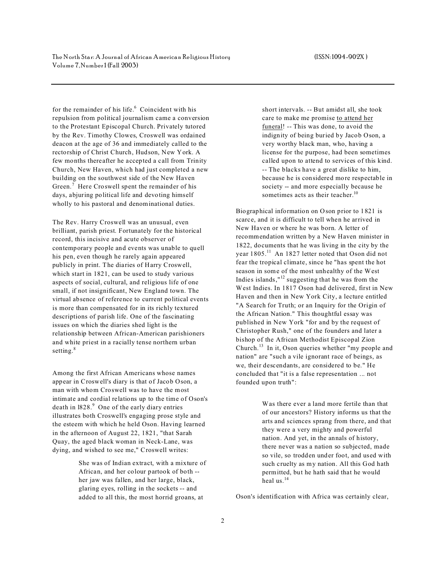for the remainder of his life. $6$  Coincident with his repulsion from political journalism came a conversion to the Protestant Episcopal Church. Privately tutored by the Rev. Timothy Clowes, Croswell was ordained deacon at the age of 36 and immediately called to the rectorship of Christ Church, Hudson, New York. A few months thereafter he accepted a call from Trinity Church, New Haven, which had just completed a new building on the southwest side of the New Haven Green.<sup>7</sup> Here Croswell spent the remainder of his days, abjuring political life and devoting himself wholly to his pastoral and denominational duties.

The Rev. Harry Croswell was an unusual, even brilliant, parish priest. Fortunately for the historical record, this incisive and acute observer of contemporary people and events was unable to quell his pen, even though he rarely again appeared publicly in print. The diaries of Harry Croswell, which start in 1821, can be used to study various aspects of social, cultural, and religious life of one small, if not insignificant, New England town. The virtual absence of reference to current political events is more than compensated for in its richly textured descriptions of parish life. One of the fascinating issues on which the diaries shed light is the relationship between African-American parishioners and white priest in a racially tense northern urban setting.<sup>8</sup>

Among the first African Americans whose names appear in Croswell's diary is that of Jacob Oson, a man with whom Croswell was to have the most intimate and cordial relations up to the time of Oson's death in 1828.<sup>9</sup> One of the early diary entries illustrates both Croswell's engaging prose style and the esteem with which he held Oson. Having learned in the afternoon of August 22, 1821, "that Sarah Quay, the aged black woman in Neck-Lane, was dying, and wished to see me," Croswell writes:

> She was of Indian extract, with a mixture of African, and her colour partook of both - her jaw was fallen, and her large, black, glaring eyes, rolling in the sockets -- and added to all this, the most horrid groans, at

short intervals. -- But amidst all, she took care to make me promise to attend her funeral! -- This was done, to avoid the indignity of being buried by Jacob Oson, a very worthy black man, who, having a license for the purpose, had been sometimes called upon to attend to services of this kind. -- The blacks have a great dislike to him, because he is considered more respectable in society -- and more especially because he sometimes acts as their teacher. $10$ 

Biographical information on Oson prior to 1821 is scarce, and it is difficult to tell when he arrived in New Haven or where he was born. A letter of recommendation written by a New Haven minister in 1822, documents that he was living in the city by the year 1805.<sup>11</sup> An 1827 letter noted that Oson did not fear the tropical climate, since he "has spent the hot season in some of the most unhealthy of the West Indies islands," $^{12}$  suggesting that he was from the West Indies. In 1817 Oson had delivered, first in New Haven and then in New York City, a lecture entitled "A Search for Truth; or an Inquiry for the Origin of the African Nation." This thoughtful essay was published in New York "for and by the request of Christopher Rush," one of the founders and later a bishop of the African Methodist Episcopal Zion Church.<sup>13</sup> In it, Oson queries whether "my people and nation" are "such a vile ignorant race of beings, as we, their descendants, are considered to be." He concluded that "it is a false representation ... not founded upon truth":

> Was there ever a land more fertile than that of our ancestors? History informs us that the arts and sciences sprang from there, and that they were a very mighty and powerful nation. And yet, in the annals of history, there never was a nation so subjected, made so vile, so trodden under foot, and used with such cruelty as my nation. All this God hath permitted, but he hath said that he would heal us.<sup>14</sup>

Oson's identification with Africa was certainly clear,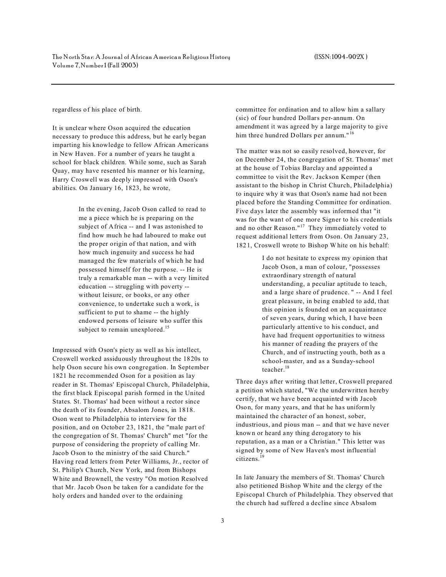regardless of his place of birth.

It is unclear where Oson acquired the education necessary to produce this address, but he early began imparting his knowledge to fellow African Americans in New Haven. For a number of years he taught a school for black children. While some, such as Sarah Quay, may have resented his manner or his learning, Harry Croswell was deeply impressed with Oson's abilities. On January 16, 1823, he wrote,

> In the evening, Jacob Oson called to read to me a piece which he is preparing on the subject of Africa -- and I was astonished to find how much he had laboured to make out the proper origin of that nation, and with how much ingenuity and success he had managed the few materials of which he had possessed himself for the purpose. -- He is truly a remarkable man -- with a very limited education -- struggling with poverty - without leisure, or books, or any other convenience, to undertake such a work, is sufficient to put to shame -- the highly endowed persons of leisure who suffer this subject to remain unexplored.<sup>15</sup>

Impressed with Oson's piety as well as his intellect, Croswell worked assiduously throughout the 1820s to help Oson secure his own congregation. In September 1821 he recommended Oson for a position as lay reader in St. Thomas' Episcopal Church, Philadelphia, the first black Episcopal parish formed in the United States. St. Thomas' had been without a rector since the death of its founder, Absalom Jones, in 1818. Oson went to Philadelphia to interview for the position, and on October 23, 1821, the "male part of the congregation of St. Thomas' Church" met "for the purpose of considering the propriety of calling Mr. Jacob Oson to the ministry of the said Church." Having read letters from Peter Williams, Jr., rector of St. Philip's Church, New York, and from Bishops White and Brownell, the vestry "On motion Resolved that Mr. Jacob Oson be taken for a candidate for the holy orders and handed over to the ordaining

committee for ordination and to allow him a sallary (sic) of four hundred Dollars per-annum. On amendment it was agreed by a large majority to give him three hundred Dollars per annum."<sup>16</sup>

The matter was not so easily resolved, however, for on December 24, the congregation of St. Thomas' met at the house of Tobias Barclay and appointed a committee to visit the Rev. Jackson Kemper (then assistant to the bishop in Christ Church, Philadelphia) to inquire why it was that Oson's name had not been placed before the Standing Committee for ordination. Five days later the assembly was informed that "it was for the want of one more Signer to his credentials and no other Reason." $17$  They immediately voted to request additional letters from Oson. On January 23, 1821, Croswell wrote to Bishop W hite on his behalf:

> I do not hesitate to express my opinion that Jacob Oson, a man of colour, "possesses extraordinary strength of natural understanding, a peculiar aptitude to teach, and a large share of prudence. " -- And I feel great pleasure, in being enabled to add, that this opinion is founded on an acquaintance of seven years, during which, I have been particularly attentive to his conduct, and have had frequent opportunities to witness his manner of reading the prayers of the Church, and of instructing youth, both as a school-master, and as a Sunday-school teacher.<sup>18</sup>

Three days after writing that letter, Croswell prepared a petition which stated, "We the underwritten hereby certify, that we have been acquainted with Jacob Oson, for many years, and that he has uniformly maintained the character of an honest, sober, industrious, and pious man -- and that we have never known or heard any thing derogatory to his reputation, as a man or a Christian." This letter was signed by some of New Haven's most influential citizens.<sup>19</sup>

In late January the members of St. Thomas' Church also petitioned Bishop White and the clergy of the Episcopal Church of Philadelphia. They observed that the church had suffered a decline since Absalom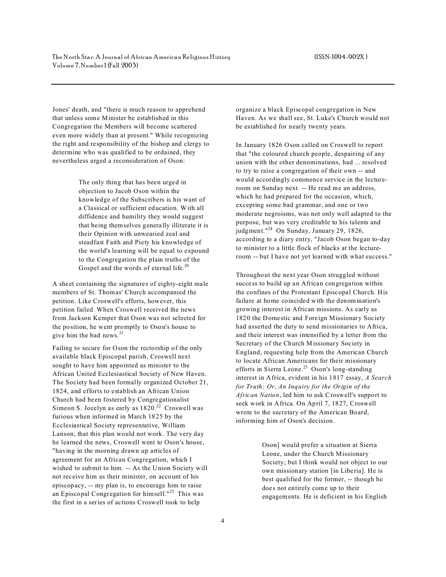Jones' death, and "there is much reason to apprehend that unless some Minister be established in this Congregation the Members will become scattered even more widely than at present." While recognizing the right and responsibility of the bishop and clergy to determine who was qualified to be ordained, they nevertheless urged a reconsideration of Oson:

> The only thing that has been urged in objection to Jacob Oson within the knowledge of the Subscribers is his want of a Classical or sufficient education. With all diffidence and humility they would suggest that being themselves generally illiterate it is their Opinion with unwearied zeal and steadfast Faith and Piety his knowledge of the world's learning will be equal to expound to the Congregation the plain truths of the Gospel and the words of eternal life.<sup>20</sup>

A sheet containing the signatures of eighty-eight male members of St. Thomas' Church accompanied the petition. Like Croswell's efforts, however, this petition failed. When Croswell received the news from Jackson Kemper that Oson was not selected for the position, he went promptly to Oson's house to give him the bad news.<sup>21</sup>

Failing to secure for Oson the rectorship of the only available black Episcopal parish, Croswell next sought to have him appointed as minister to the African United Ecclesiastical Society of New Haven. The Society had been formally organized October 21, 1824, and efforts to establish an African Union Church had been fostered by Congregationalist Simeon S. Jocelyn as early as  $1820.<sup>22</sup>$  Croswell was furious when informed in March 1825 by the Ecclesiastical Society representative, William Lanson, that this plan would not work. The very day he learned the news, Croswell went to Oson's house, "having in the morning drawn up articles of agreement for an African Congregation, which I wished to submit to him. -- As the Union Society will not receive him as their minister, on account of his episcopacy, -- my plan is, to encourage him to raise an Episcopal Congregation for himself."<sup>23</sup> This was the first in a series of actions Croswell took to help

organize a black Episcopal congregation in New Haven. As we shall see, St. Luke's Church would not be established for nearly twenty years.

In January 1826 Oson called on Croswell to report that "the coloured church people, despairing of any union with the other denominations, had ... resolved to try to raise a congregation of their own -- and would accordingly commence service in the lectureroom on Sunday next. -- He read me an address, which he had prepared for the occasion, which, excepting some bad grammar, and one or two moderate negroisms, was not only well adapted to the purpose, but was very creditable to his talents and judgment."<sup>24</sup> On Sunday, January 29, 1826, according to a diary entry, "Jacob Oson began to-day to minister to a little flock of blacks at the lectureroom -- but I have not yet learned with what success."

Throughout the next year Oson struggled without success to build up an African congregation within the confines of the Protestant Episcopal Church. His failure at home coincided with the denomination's growing interest in African missions. As early as 1820 the Domestic and Foreign Missionary Society had asserted the duty to send missionaries to Africa, and their interest was intensified by a letter from the Secretary of the Church Missionary Society in England, requesting help from the American Church to locate African Americans for their missionary efforts in Sierra Leone.<sup>25</sup> Oson's long-standing interest in Africa, evident in his 1817 essay, *A Search for Truth; Or, An Inquiry for the Origin of the African Nation*, led him to ask Croswell's support to seek work in Africa. On April 7, 1827, Croswell wrote to the secretary of the American Board, informing him of Oson's decision.

> Oson] would prefer a situation at Sierra Leone, under the Church Missionary Society; but I think would not object to our own missionary station [in Liberia]. He is best qualified for the former, -- though he does not entirely come up to their engagements. He is deficient in his English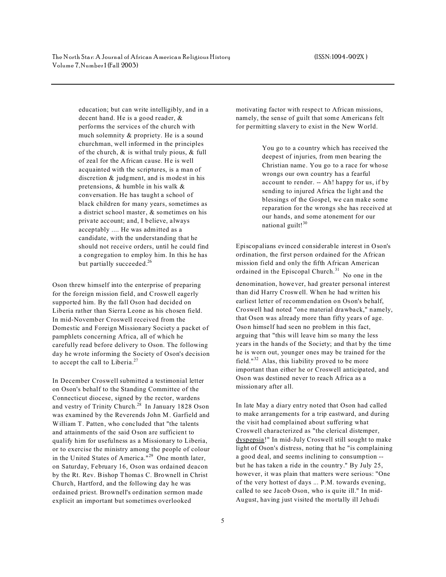education; but can write intelligibly, and in a decent hand. He is a good reader, & performs the services of the church with much solemnity & propriety. He is a sound churchman, well informed in the principles of the church, & is withal truly pious, & full of zeal for the African cause. He is well acquainted with the scriptures, is a man of discretion & judgment, and is modest in his pretensions, & humble in his walk & conversation. He has taught a school of black children for many years, sometimes as a district school master, & sometimes on his private account; and, I believe, always acceptably .... He was admitted as a candidate, with the understanding that he should not receive orders, until he could find a congregation to employ him. In this he has but partially succeeded.<sup>26</sup>

Oson threw himself into the enterprise of preparing for the foreign mission field, and Croswell eagerly supported him. By the fall Oson had decided on Liberia rather than Sierra Leone as his chosen field. In mid-November Croswell received from the Domestic and Foreign Missionary Society a packet of pamphlets concerning Africa, all of which he carefully read before delivery to Oson. The following day he wrote informing the Society of Oson's decision to accept the call to Liberia.<sup>27</sup>

In December Croswell submitted a testimonial letter on Oson's behalf to the Standing Committee of the Connecticut diocese, signed by the rector, wardens and vestry of Trinity Church.<sup>28</sup> In January 1828 Oson was examined by the Reverends John M. Garfield and William T. Patten, who concluded that "the talents and attainments of the said Oson are sufficient to qualify him for usefulness as a Missionary to Liberia, or to exercise the ministry among the people of colour in the United States of America."<sup>29</sup> One month later, on Saturday, February 16, Oson was ordained deacon by the Rt. Rev. Bishop Thomas C. Brownell in Christ Church, Hartford, and the following day he was ordained priest. Brownell's ordination sermon made explicit an important but sometimes overlooked

motivating factor with respect to African missions, namely, the sense of guilt that some Americans felt for permitting slavery to exist in the New World.

> You go to a country which has received the deepest of injuries, from men bearing the Christian name. You go to a race for whose wrongs our own country has a fearful account to render. -- Ah! happy for us, if by sending to injured Africa the light and the blessings of the Gospel, we can make some reparation for the wrongs she has received at our hands, and some atonement for our national guilt!<sup>30</sup>

Episcopalians evinced considerable interest in Oson's ordination, the first person ordained for the African mission field and only the fifth African American ordained in the Episcopal Church.<sup>31</sup> No one in the denomination, however, had greater personal interest than did Harry Croswell. When he had written his earliest letter of recommendation on Oson's behalf, Croswell had noted "one material drawback," namely, that Oson was already more than fifty years of age. Oson himself had seen no problem in this fact, arguing that "this will leave him so many the less years in the hands of the Society; and that by the time he is worn out, younger ones may be trained for the field."<sup>32</sup> Alas, this liability proved to be more important than either he or Croswell anticipated, and Oson was destined never to reach Africa as a missionary after all.

In late May a diary entry noted that Oson had called to make arrangements for a trip eastward, and during the visit had complained about suffering what Croswell characterized as "the clerical distemper, dyspepsia!" In mid-July Croswell still sought to make light of Oson's distress, noting that he "is complaining a good deal, and seems inclining to consumption - but he has taken a ride in the country." By July 25, however, it was plain that matters were serious: "One of the very hottest of days ... P.M. towards evening, called to see Jacob Oson, who is quite ill." In mid-August, having just visited the mortally ill Jehudi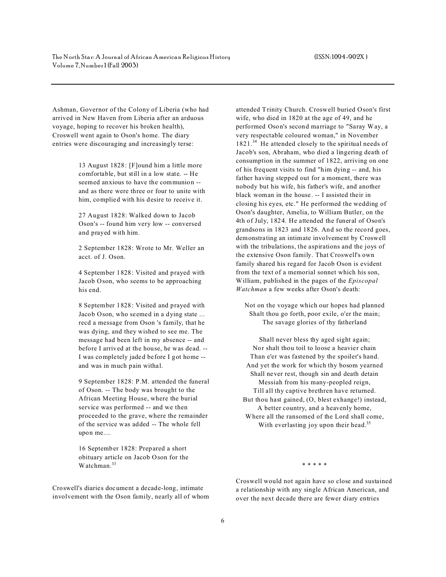Ashman, Governor of the Colony of Liberia (who had arrived in New Haven from Liberia after an arduous voyage, hoping to recover his broken health), Croswell went again to Oson's home. The diary entries were discouraging and increasingly terse:

> 13 August 1828: [F]ound him a little more comfortable, but still in a low state. -- He seemed anxious to have the communion - and as there were three or four to unite with him, complied with his desire to receive it.

27 August 1828: Walked down to Jacob Oson's -- found him very low -- conversed and prayed with him.

2 September 1828: Wrote to Mr. Weller an acct. of J. Oson.

4 September 1828: Visited and prayed with Jacob Oson, who seems to be approaching his end.

8 September 1828: Visited and prayed with Jacob Oson, who seemed in a dying state ... recd a message from Oson 's family, that he was dying, and they wished to see me. The message had been left in my absence -- and before I arrived at the house, he was dead. -- I was completely jaded before I got home - and was in much pain withal.

9 September 1828: P.M. attended the funeral of Oson. -- The body was brought to the African Meeting House, where the burial service was performed -- and we then proceeded to the grave, where the remainder of the service was added -- The whole fell upon me....

16 September 1828: Prepared a short obituary article on Jacob Oson for the Watchman.<sup>33</sup>

Croswell's diaries document a decade-long, intimate involvement with the Oson family, nearly all of whom attended Trinity Church. Croswell buried Oson's first wife, who died in 1820 at the age of 49, and he performed Oson's second marriage to "Saray Way, a very respectable coloured woman," in November 1821.<sup>34</sup> He attended closely to the spiritual needs of Jacob's son, Abraham, who died a lingering death of consumption in the summer of 1822, arriving on one of his frequent visits to find "him dying -- and, his father having stepped out for a moment, there was nobody but his wife, his father's wife, and another black woman in the house. -- I assisted their in closing his eyes, etc." He performed the wedding of Oson's daughter, Amelia, to William Butler, on the 4th of July, 1824. He attended the funeral of Oson's grandsons in 1823 and 1826. And so the record goes, demonstrating an intimate involvement by Croswell with the tribulations, the aspirations and the joys of the extensive Oson family. That Croswell's own family shared his regard for Jacob Oson is evident from the text of a memorial sonnet which his son, William, published in the pages of the *Episcopal Watchman* a few weeks after Oson's death:

Not on the voyage which our hopes had planned Shalt thou go forth, poor exile, o'er the main; The savage glories of thy fatherland

Shall never bless thy aged sight again; Nor shalt thou toil to loose a heavier chain Than e'er was fastened by the spoiler's hand. And yet the work for which thy bosom yearned Shall never rest, though sin and death detain Messiah from his many-peopled reign, Till all thy captive brethren have returned. But thou hast gained, (O, blest exhange!) instead, A better country, and a heavenly home, Where all the ransomed of the Lord shall come, With everlasting joy upon their head.<sup>35</sup>

\* \* \* \* \*

Croswell would not again have so close and sustained a relationship with any single African American, and over the next decade there are fewer diary entries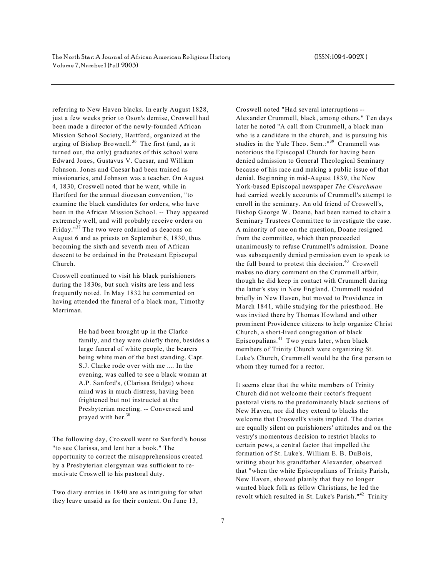referring to New Haven blacks. In early August 1828, just a few weeks prior to Oson's demise, Croswell had been made a director of the newly-founded African Mission School Society, Hartford, organized at the urging of Bishop Brownell.<sup>36</sup> The first (and, as it turned out, the only) graduates of this school were Edward Jones, Gustavus V. Caesar, and William Johnson. Jones and Caesar had been trained as missionaries, and Johnson was a teacher. On August 4, 1830, Croswell noted that he went, while in Hartford for the annual diocesan convention, "to examine the black candidates for orders, who have been in the African Mission School. -- They appeared extremely well, and will probably receive orders on Friday."<sup>37</sup> The two were ordained as deacons on August 6 and as priests on September 6, 1830, thus becoming the sixth and seventh men of African descent to be ordained in the Protestant Episcopal Church.

Croswell continued to visit his black parishioners during the 1830s, but such visits are less and less frequently noted. In May 1832 he commented on having attended the funeral of a black man, Timothy Merriman.

> He had been brought up in the Clarke family, and they were chiefly there, besides a large funeral of white people, the bearers being white men of the best standing. Capt. S.J. Clarke rode over with me .... In the evening, was called to see a black woman at A.P. Sanford's, (Clarissa Bridge) whose mind was in much distress, having been frightened but not instructed at the Presbyterian meeting. -- Conversed and prayed with her.<sup>38</sup>

The following day, Croswell went to Sanford's house "to see Clarissa, and lent her a book." The opportunity to correct the misapprehensions created by a Presbyterian clergyman was sufficient to remotivate Croswell to his pastoral duty.

Two diary entries in 1840 are as intriguing for what they leave unsaid as for their content. On June 13,

Croswell noted "Had several interruptions -- Alexander Crummell, black, among others." Ten days later he noted "A call from Crummell, a black man who is a candidate in the church, and is pursuing his studies in the Yale Theo. Sem.:"<sup>39</sup> Crummell was notorious the Episcopal Church for having been denied admission to General Theological Seminary because of his race and making a public issue of that denial. Beginning in mid-August 1839, the New York-based Episcopal newspaper *The Churchman* had carried weekly accounts of Crummell's attempt to enroll in the seminary. An old friend of Croswell's, Bishop George W. Doane, had been named to chair a Seminary Trustees Committee to investigate the case. A minority of one on the question, Doane resigned from the committee, which then proceeded unanimously to refuse Crummell's admission. Doane was subsequently denied permission even to speak to the full board to protest this decision. $40$  Croswell makes no diary comment on the Crummell affair, though he did keep in contact with Crummell during the latter's stay in New England. Crummell resided briefly in New Haven, but moved to Providence in March 1841, while studying for the priesthood. He was invited there by Thomas Howland and other prominent Providence citizens to help organize Christ Church, a short-lived congregation of black Episcopalians. $41$  Two years later, when black members of Trinity Church were organizing St. Luke's Church, Crummell would be the first person to whom they turned for a rector.

It seems clear that the white members of Trinity Church did not welcome their rector's frequent pastoral visits to the predominately black sections of New Haven, nor did they extend to blacks the welcome that Croswell's visits implied. The diaries are equally silent on parishioners' attitudes and on the vestry's momentous decision to restrict blacks to certain pews, a central factor that impelled the formation of St. Luke's. William E. B. DuBois, writing about his grandfather Alexander, observed that "when the white Episcopalians of Trinity Parish, New Haven, showed plainly that they no longer wanted black folk as fellow Christians, he led the revolt which resulted in St. Luke's Parish."<sup>42</sup> Trinity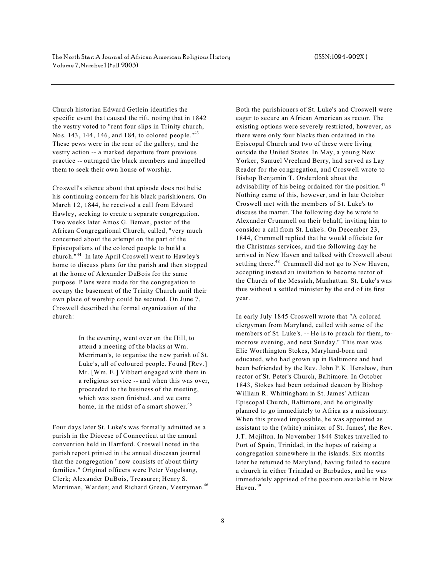Church historian Edward Getlein identifies the specific event that caused the rift, noting that in 1842 the vestry voted to "rent four slips in Trinity church, Nos. 143, 144, 146, and 184, to colored people."<sup>43</sup> These pews were in the rear of the gallery, and the vestry action -- a marked departure from previous practice -- outraged the black members and impelled them to seek their own house of worship.

Croswell's silence about that episode does not belie his continuing concern for his black parishioners. On March 12, 1844, he received a call from Edward Hawley, seeking to create a separate congregation. Two weeks later Amos G. Beman, pastor of the African Congregational Church, called, "very much concerned about the attempt on the part of the Episcopalians of the colored people to build a church."<sup>44</sup> In late April Croswell went to Hawley's home to discuss plans for the parish and then stopped at the home of Alexander DuBois for the same purpose. Plans were made for the congregation to occupy the basement of the Trinity Church until their own place of worship could be secured. On June 7, Croswell described the formal organization of the church:

> In the evening, went over on the Hill, to attend a meeting of the blacks at Wm. Merriman's, to organise the new parish of St. Luke's, all of coloured people. Found [Rev.] Mr. [Wm. E.] Vibbert engaged with them in a religious service -- and when this was over, proceeded to the business of the meeting, which was soon finished, and we came home, in the midst of a smart shower.<sup>45</sup>

Four days later St. Luke's was formally admitted as a parish in the Diocese of Connecticut at the annual convention held in Hartford. Croswell noted in the parish report printed in the annual diocesan journal that the congregation "now consists of about thirty families." Original officers were Peter Vogelsang, Clerk; Alexander DuBois, Treasurer; Henry S. Merriman, Warden; and Richard Green, Vestryman.<sup>46</sup>

Both the parishioners of St. Luke's and Croswell were eager to secure an African American as rector. The existing options were severely restricted, however, as there were only four blacks then ordained in the Episcopal Church and two of these were living outside the United States. In May, a young New Yorker, Samuel Vreeland Berry, had served as Lay Reader for the congregation, and Croswell wrote to Bishop Benjamin T. Onderdonk about the advisability of his being ordained for the position. $47$ Nothing came of this, however, and in late October Croswell met with the members of St. Luke's to discuss the matter. The following day he wrote to Alexander Crummell on their behalf, inviting him to consider a call from St. Luke's. On December 23, 1844, Crummell replied that he would officiate for the Christmas services, and the following day he arrived in New Haven and talked with Croswell about settling there.<sup>48</sup> Crummell did not go to New Haven, accepting instead an invitation to become rector of the Church of the Messiah, Manhattan. St. Luke's was thus without a settled minister by the end of its first year.

In early July 1845 Croswell wrote that "A colored clergyman from Maryland, called with some of the members of St. Luke's. -- He is to preach for them, tomorrow evening, and next Sunday." This man was Elie Worthington Stokes, Maryland-born and educated, who had grown up in Baltimore and had been befriended by the Rev. John P.K. Henshaw, then rector of St. Peter's Church, Baltimore. In October 1843, Stokes had been ordained deacon by Bishop William R. Whittingham in St. James' African Episcopal Church, Baltimore, and he originally planned to go immediately to Africa as a missionary. When this proved impossible, he was appointed as assistant to the (white) minister of St. James', the Rev. J.T. Mcjilton. In November 1844 Stokes travelled to Port of Spain, Trinidad, in the hopes of raising a congregation somewhere in the islands. Six months later he returned to Maryland, having failed to secure a church in either Trinidad or Barbados, and he was immediately apprised of the position available in New Haven.<sup>49</sup>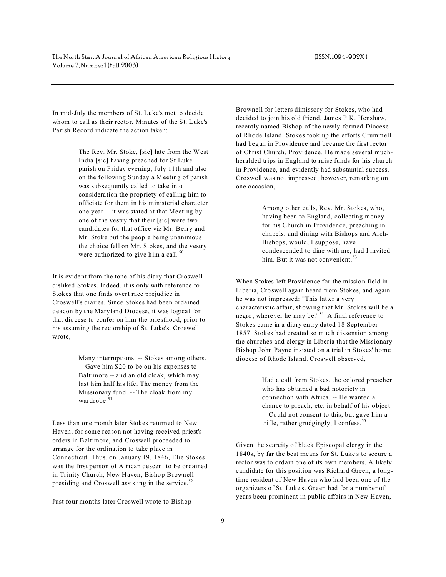In mid-July the members of St. Luke's met to decide whom to call as their rector. Minutes of the St. Luke's Parish Record indicate the action taken:

> The Rev. Mr. Stoke, [sic] late from the West India [sic] having preached for St Luke parish on Friday evening, July 11th and also on the following Sunday a Meeting of parish was subsequently called to take into consideration the propriety of calling him to officiate for them in his ministerial character one year -- it was stated at that Meeting by one of the vestry that their [sic] were two candidates for that office viz Mr. Berry and Mr. Stoke but the people being unanimous the choice fell on Mr. Stokes, and the vestry were authorized to give him a call.<sup>50</sup>

It is evident from the tone of his diary that Croswell disliked Stokes. Indeed, it is only with reference to Stokes that one finds overt race prejudice in Croswell's diaries. Since Stokes had been ordained deacon by the Maryland Diocese, it was logical for that diocese to confer on him the priesthood, prior to his assuming the rectorship of St. Luke's. Croswell wrote,

> Many interruptions. -- Stokes among others. -- Gave him \$20 to be on his expenses to Baltimore -- and an old cloak, which may last him half his life. The money from the Missionary fund. -- The cloak from my wardrobe.<sup>51</sup>

Less than one month later Stokes returned to New Haven, for some reason not having received priest's orders in Baltimore, and Croswell proceeded to arrange for the ordination to take place in Connecticut. Thus, on January 19, 1846, Elie Stokes was the first person of African descent to be ordained in Trinity Church, New Haven, Bishop Brownell presiding and Croswell assisting in the service.<sup>52</sup>

Just four months later Croswell wrote to Bishop

Brownell for letters dimissory for Stokes, who had decided to join his old friend, James P.K. Henshaw, recently named Bishop of the newly-formed Diocese of Rhode Island. Stokes took up the efforts Crummell had begun in Providence and became the first rector of Christ Church, Providence. He made several muchheralded trips in England to raise funds for his church in Providence, and evidently had substantial success. Croswell was not impressed, however, remarking on one occasion,

> Among other calls, Rev. Mr. Stokes, who, having been to England, collecting money for his Church in Providence, preaching in chapels, and dining with Bishops and Arch-Bishops, would, I suppose, have condescended to dine with me, had I invited him. But it was not convenient.<sup>53</sup>

When Stokes left Providence for the mission field in Liberia, Croswell again heard from Stokes, and again he was not impressed: "This latter a very characteristic affair, showing that Mr. Stokes will be a negro, wherever he may be."<sup>54</sup> A final reference to Stokes came in a diary entry dated 18 September 1857. Stokes had created so much dissension among the churches and clergy in Liberia that the Missionary Bishop John Payne insisted on a trial in Stokes' home diocese of Rhode Island. Croswell observed,

> Had a call from Stokes, the colored preacher who has obtained a bad notoriety in connection with Africa. -- He wanted a chance to preach, etc. in behalf of his object. -- Could not consent to this, but gave him a trifle, rather grudgingly, I confess. $55$

Given the scarcity of black Episcopal clergy in the 1840s, by far the best means for St. Luke's to secure a rector was to ordain one of its own members. A likely candidate for this position was Richard Green, a longtime resident of New Haven who had been one of the organizers of St. Luke's. Green had for a number of years been prominent in public affairs in New Haven,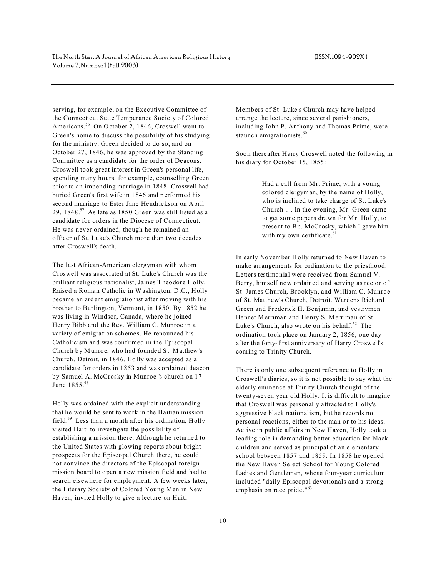serving, for example, on the Executive Committee of the Connecticut State Temperance Society of Colored Americans.<sup>56</sup> On October 2, 1846, Croswell went to Green's home to discuss the possibility of his studying for the ministry. Green decided to do so, and on October 27, 1846, he was approved by the Standing Committee as a candidate for the order of Deacons. Croswell took great interest in Green's personal life, spending many hours, for example, counselling Green prior to an impending marriage in 1848. Croswell had buried Green's first wife in 1846 and performed his second marriage to Ester Jane Hendrickson on April 29,  $1848<sup>57</sup>$  As late as 1850 Green was still listed as a candidate for orders in the Diocese of Connecticut. He was never ordained, though he remained an officer of St. Luke's Church more than two decades after Croswell's death.

The last African-American clergyman with whom Croswell was associated at St. Luke's Church was the brilliant religious nationalist, James Theodore Holly. Raised a Roman Catholic in Washington, D.C., Holly became an ardent emigrationist after moving with his brother to Burlington, Vermont, in 1850. By 1852 he was living in Windsor, Canada, where he joined Henry Bibb and the Rev. William C. Munroe in a variety of emigration schemes. He renounced his Catholicism and was confirmed in the Episcopal Church by Munroe, who had founded St. Matthew's Church, Detroit, in 1846. Holly was accepted as a candidate for orders in 1853 and was ordained deacon by Samuel A. McCrosky in Munroe 's church on 17 June 1855.<sup>58</sup>

Holly was ordained with the explicit understanding that he would be sent to work in the Haitian mission field.<sup>59</sup> Less than a month after his ordination, Holly visited Haiti to investigate the possibility of establishing a mission there. Although he returned to the United States with glowing reports about bright prospects for the Episcopal Church there, he could not convince the directors of the Episcopal foreign mission board to open a new mission field and had to search elsewhere for employment. A few weeks later, the Literary Society of Colored Young Men in New Haven, invited Holly to give a lecture on Haiti.

Members of St. Luke's Church may have helped arrange the lecture, since several parishioners, including John P. Anthony and Thomas Prime, were staunch emigrationists.<sup>60</sup>

Soon thereafter Harry Croswell noted the following in his diary for October 15, 1855:

> Had a call from Mr. Prime, with a young colored clergyman, by the name of Holly, who is inclined to take charge of St. Luke's Church .... In the evening, Mr. Green came to get some papers drawn for Mr. Holly, to present to Bp. McCrosky, which I gave him with my own certificate. $61$

In early November Holly returned to New Haven to make arrangements for ordination to the priesthood. Letters testimonial were received from Samuel V. Berry, himself now ordained and serving as rector of St. James Church, Brooklyn, and William C. Munroe of St. Matthew's Church, Detroit. Wardens Richard Green and Frederick H. Benjamin, and vestrymen Bennet Merriman and Henry S. Merriman of St. Luke's Church, also wrote on his behalf. $62$  The ordination took place on January 2, 1856, one day after the forty-first anniversary of Harry Croswell's coming to Trinity Church.

There is only one subsequent reference to Holly in Croswell's diaries, so it is not possible to say what the elderly eminence at Trinity Church thought of the twenty-seven year old Holly. It is difficult to imagine that Croswell was personally attracted to Holly's aggressive black nationalism, but he records no personal reactions, either to the man or to his ideas. Active in public affairs in New Haven, Holly took a leading role in demanding better education for black children and served as principal of an elementary school between 1857 and 1859. In 1858 he opened the New Haven Select School for Young Colored Ladies and Gentlemen, whose four-year curriculum included "daily Episcopal devotionals and a strong emphasis on race pride."<sup>63</sup>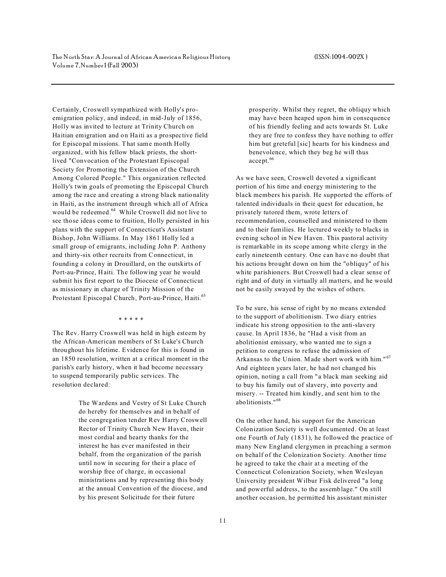Certainly, Croswell sympathized with Holly's proemigration policy, and indeed, in mid-July of 1856, Holly was invited to lecture at Trinity Church on Haitian emigration and on Haiti as a prospective field for Episcopal missions. That same month Holly organized, with his fellow black priests, the shortlived "Convocation of the Protestant Episcopal Society for Promoting the Extension of the Church Among Colored People." This organization reflected Holly's twin goals of promoting the Episcopal Church among the race and creating a strong black nationality in Haiti, as the instrument through which all of Africa would be redeemed.<sup>64</sup> While Croswell did not live to see those ideas come to fruition, Holly persisted in his plans with the support of Connecticut's Assistant Bishop, John Williams. In May 1861 Holly led a small group of emigrants, including John P. Anthony and thirty-six other recruits from Connecticut, in founding a colony in Drouillard, on the outskirts of Port-au-Prince, Haiti. The following year he would submit his first report to the Diocese of Connecticut as missionary in charge of Trinity Mission of the Protestant Episcopal Church, Port-au-Prince, Haiti.<sup>65</sup>

\* \* \* \* \*

The Rev. Harry Croswell was held in high esteem by the African-American members of St Luke's Church throughout his lifetime. Evidence for this is found in an 1850 resolution, written at a critical moment in the parish's early history, when it had become necessary to suspend temporarily public services. The resolution declared:

> The Wardens and Vestry of St Luke Church do hereby for themselves and in behalf of the congregation tender Rev Harry Croswell Rector of Trinity Church New Haven, their most cordial and hearty thanks for the interest he has ever manifested in their behalf, from the organization of the parish until now in securing for their a place of worship free of charge, in occasional ministrations and by representing this body at the annual Convention of the diocese, and by his present Solicitude for their future

prosperity. Whilst they regret, the obliquy which may have been heaped upon him in consequence of his friendly feeling and acts towards St. Luke they are free to confess they have nothing to offer him but greteful [sic] hearts for his kindness and benevolence, which they beg he will thus accept.<sup>66</sup>

As we have seen, Croswell devoted a significant portion of his time and energy ministering to the black members his parish. He supported the efforts of talented individuals in their quest for education, he privately tutored them, wrote letters of recommendation, counselled and ministered to them and to their families. He lectured weekly to blacks in evening school in New Haven. This pastoral activity is remarkable in its scope among white clergy in the early nineteenth century. One can have no doubt that his actions brought down on him the "obliquy" of his white parishioners. But Croswell had a clear sense of right and of duty in virtually all matters, and he would not be easily swayed by the wishes of others.

To be sure, his sense of right by no means extended to the support of abolitionism. Two diary entries indicate his strong opposition to the anti-slavery cause. In April 1836, he "Had a visit from an abolitionist emissary, who wanted me to sign a petition to congress to refuse the admission of Arkansas to the Union. Made short work with him."<sup>67</sup> And eighteen years later, he had not changed his opinion, noting a call from "a black man seeking aid to buy his family out of slavery, into poverty and misery. -- Treated him kindly, and sent him to the abolitionists."<sup>68</sup>

On the other hand, his support for the American Colonization Society is well documented. On at least one Fourth of July (1831), he followed the practice of many New England clergymen in preaching a sermon on behalf of the Colonization Society. Another time he agreed to take the chair at a meeting of the Connecticut Colonization Society, when Wesleyan University president Wilbur Fisk delivered "a long and powerful address, to the assemblage." On still another occasion, he permitted his assistant minister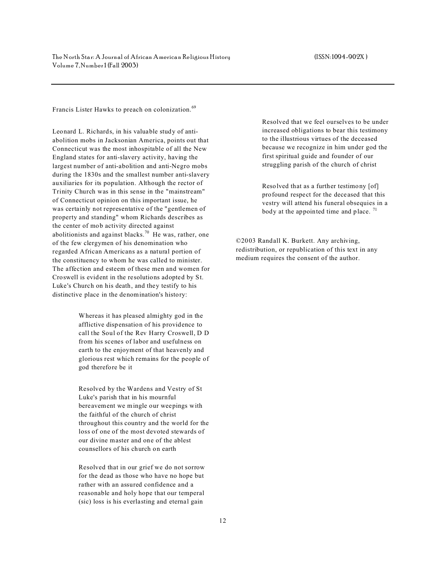Francis Lister Hawks to preach on colonization.<sup>69</sup>

Leonard L. Richards, in his valuable study of antiabolition mobs in Jacksonian America, points out that Connecticut was the most inhospitable of all the New England states for anti-slavery activity, having the largest number of anti-abolition and anti-Negro mobs during the 1830s and the smallest number anti-slavery auxiliaries for its population. Although the rector of Trinity Church was in this sense in the "mainstream" of Connecticut opinion on this important issue, he was certainly not representative of the "gentlemen of property and standing" whom Richards describes as the center of mob activity directed against abolitionists and against blacks.<sup>70</sup> He was, rather, one of the few clergymen of his denomination who regarded African Americans as a natural portion of the constituency to whom he was called to minister. The affection and esteem of these men and women for Croswell is evident in the resolutions adopted by St. Luke's Church on his death, and they testify to his distinctive place in the denomination's history:

> Whereas it has pleased almighty god in the afflictive dispensation of his providence to call the Soul of the Rev Harry Croswell, D D from his scenes of labor and usefulness on earth to the enjoyment of that heavenly and glorious rest which remains for the people of god therefore be it

> Resolved by the Wardens and Vestry of St Luke's parish that in his mournful bereavement we mingle our weepings with the faithful of the church of christ throughout this country and the world for the loss of one of the most devoted stewards of our divine master and one of the ablest counsellors of his church on earth

Resolved that in our grief we do not sorrow for the dead as those who have no hope but rather with an assured confidence and a reasonable and holy hope that our temperal (sic) loss is his everlasting and eternal gain

Resolved that we feel ourselves to be under increased obligations to bear this testimony to the illustrious virtues of the deceased because we recognize in him under god the first spiritual guide and founder of our struggling parish of the church of christ

Resolved that as a further testimony [of] profound respect for the deceased that this vestry will attend his funeral obsequies in a body at the appointed time and place.  $71$ 

©2003 Randall K. Burkett. Any archiving, redistribution, or republication of this text in any medium requires the consent of the author.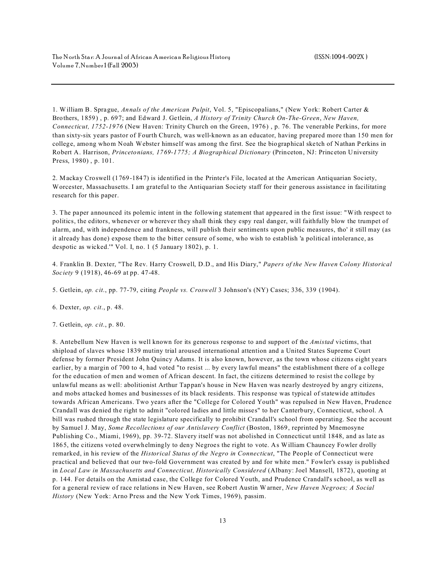1. William B. Sprague, *Annals of the American Pulpit*, Vol. 5, "Episcopalians," (New York: Robert Carter & Brothers, 1859) , p. 697; and Edward J. Getlein, *A History of Trinity Church On-The-Green*, *New Haven, Connecticut, 1752-1976* (New Haven: Trinity Church on the Green, 1976) , p. 76. The venerable Perkins, for more than sixty-six years pastor of Fourth Church, was well-known as an educator, having prepared more than 150 men for college, among whom Noah Webster himself was among the first. See the biographical sketch of Nathan Perkins in Robert A. Harrison, *Princetonians, 1769-1775; A Biographical Dictionary* (Princeton, NJ: Princeton University Press, 1980) , p. 101.

2. Mackay Croswell (1769-1847) is identified in the Printer's File, located at the American Antiquarian Society, Worcester, Massachusetts. I am grateful to the Antiquarian Society staff for their generous assistance in facilitating research for this paper.

3. The paper announced its polemic intent in the following statement that appeared in the first issue: "With respect to politics, the editors, whenever or wherever they shall think they espy real danger, will faithfully blow the trumpet of alarm, and, with independence and frankness, will publish their sentiments upon public measures, tho' it still may (as it already has done) expose them to the bitter censure of some, who wish to establish 'a political intolerance, as despotic as wicked.'" Vol. I, no. 1 (5 January 1802), p. 1.

4. Franklin B. Dexter, "The Rev. Harry Croswell, D.D., and His Diary," *Papers of the New Haven Colony Historical Society* 9 (1918), 46-69 at pp. 47-48.

5. Getlein, *op. cit*., pp. 77-79, citing *People vs. Croswell* 3 Johnson's (NY) Cases; 336, 339 (1904).

6. Dexter, *op. cit*., p. 48.

7. Getlein, *op. cit*., p. 80.

8. Antebellum New Haven is well known for its generous response to and support of the *Amistad* victims, that shipload of slaves whose 1839 mutiny trial aroused international attention and a United States Supreme Court defense by former President John Quincy Adams. It is also known, however, as the town whose citizens eight years earlier, by a margin of 700 to 4, had voted "to resist ... by every lawful means" the establishment there of a college for the education of men and women of African descent. In fact, the citizens determined to resist the college by unlawful means as well: abolitionist Arthur Tappan's house in New Haven was nearly destroyed by angry citizens, and mobs attacked homes and businesses of its black residents. This response was typical of statewide attitudes towards African Americans. Two years after the "College for Colored Youth" was repulsed in New Haven, Prudence Crandall was denied the right to admit "colored ladies and little misses" to her Canterbury, Connecticut, school. A bill was rushed through the state legislature specifically to prohibit Crandall's school from operating. See the account by Samuel J. May, *Some Recollections of our Antislavery Conflict* (Boston, 1869, reprinted by Mnemosyne Publishing Co., Miami, 1969), pp. 39-72. Slavery itself was not abolished in Connecticut until 1848, and as late as 1865, the citizens voted overwhelmingly to deny Negroes the right to vote. As William Chauncey Fowler drolly remarked, in his review of the *Historical Status of the Negro in Connecticut*, "The People of Connecticut were practical and believed that our two-fold Government was created by and for white men." Fowler's essay is published in *Local Law in Massachusetts and Connecticut, Historically Considered* (Albany: Joel Mansell, 1872), quoting at p. 144. For details on the Amistad case, the College for Colored Youth, and Prudence Crandall's school, as well as for a general review of race relations in New Haven, see Robert Austin W arner, *New Haven Negroes; A Social History* (New York: Arno Press and the New York Times, 1969), passim.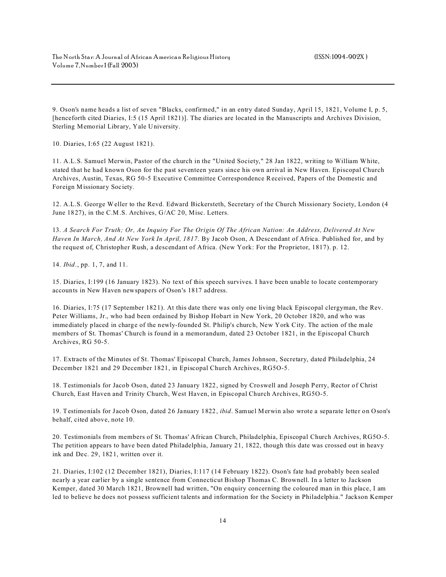9. Oson's name heads a list of seven "Blacks, confirmed," in an entry dated Sunday, April 15, 1821, Volume I, p. 5, [henceforth cited Diaries, I:5 (15 April 1821)]. The diaries are located in the Manuscripts and Archives Division, Sterling Memorial Library, Yale University.

10. Diaries, I:65 (22 August 1821).

11. A.L.S. Samuel Merwin, Pastor of the church in the "United Society," 28 Jan 1822, writing to William White, stated that he had known Oson for the past seventeen years since his own arrival in New Haven. Episcopal Church Archives, Austin, Texas, RG 50-5 Executive Committee Correspondence Received, Papers of the Domestic and Foreign Missionary Society.

12. A.L.S. George Weller to the Revd. Edward Bickersteth, Secretary of the Church Missionary Society, London (4 June 1827), in the C.M.S. Archives, G/AC 20, Misc. Letters.

13. *A Search For Truth; Or, An Inquiry For The Origin Of The African Nation: An Address, Delivered At New Haven In March, And At New York In April, 1817*. By Jacob Oson, A Descendant of Africa. Published for, and by the request of, Christopher Rush, a descendant of Africa. (New York: For the Proprietor, 1817). p. 12.

14. *Ibid*., pp. 1, 7, and 11.

15. Diaries, I:199 (16 January 1823). No text of this speech survives. I have been unable to locate contemporary accounts in New Haven newspapers of Oson's 1817 address.

16. Diaries, I:75 (17 September 1821). At this date there was only one living black Episcopal clergyman, the Rev. Peter Williams, Jr., who had been ordained by Bishop Hobart in New York, 20 October 1820, and who was immediately placed in charge of the newly-founded St. Philip's church, New York City. The action of the male members of St. Thomas' Church is found in a memorandum, dated 23 October 1821, in the Episcopal Church Archives, RG 50-5.

17. Extracts of the Minutes of St. Thomas' Episcopal Church, James Johnson, Secretary, dated Philadelphia, 24 December 1821 and 29 December 1821, in Episcopal Church Archives, RG5O-5.

18. Testimonials for Jacob Oson, dated 23 January 1822, signed by Croswell and Joseph Perry, Rector of Christ Church, East Haven and Trinity Church, West Haven, in Episcopal Church Archives, RG5O-5.

19. Testimonials for Jacob Oson, dated 26 January 1822, *ibid*. Samuel Merwin also wrote a separate letter on Oson's behalf, cited above, note 10.

20. Testimonials from members of St. Thomas' African Church, Philadelphia, Episcopal Church Archives, RG5O-5. The petition appears to have been dated Philadelphia, January 21, 1822, though this date was crossed out in heavy ink and Dec. 29, 1821, written over it.

21. Diaries, I:102 (12 December 1821), Diaries, I:117 (14 February 1822). Oson's fate had probably been sealed nearly a year earlier by a single sentence from Connecticut Bishop Thomas C. Brownell. In a letter to Jackson Kemper, dated 30 March 1821, Brownell had written, "On enquiry concerning the coloured man in this place, I am led to believe he does not possess sufficient talents and information for the Society in Philadelphia." Jackson Kemper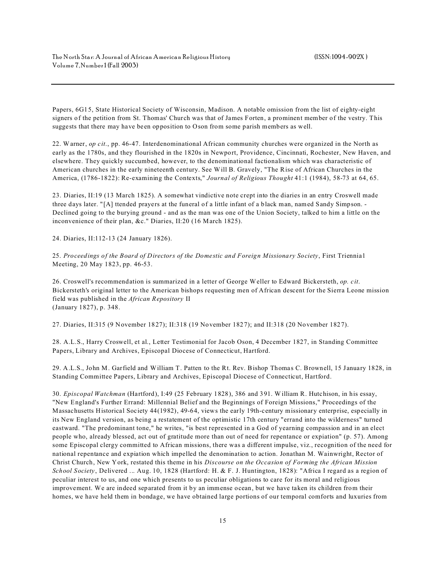Papers, 6G15, State Historical Society of Wisconsin, Madison. A notable omission from the list of eighty-eight signers of the petition from St. Thomas' Church was that of James Forten, a prominent member of the vestry. This suggests that there may have been opposition to Oson from some parish members as well.

22. Warner, *op cit*., pp. 46-47. Interdenominational African community churches were organized in the North as early as the 1780s, and they flourished in the 1820s in Newport, Providence, Cincinnati, Rochester, New Haven, and elsewhere. They quickly succumbed, however, to the denominational factionalism which was characteristic of American churches in the early nineteenth century. See Will B. Gravely, "The Rise of African Churches in the America, (1786-1822): Re-examining the Contexts," *Journal of Religious Thought* 41:1 (1984), 58-73 at 64, 65.

23. Diaries, II:19 (13 March 1825). A somewhat vindictive note crept into the diaries in an entry Croswell made three days later. "[A] ttended prayers at the funeral of a little infant of a black man, named Sandy Simpson. - Declined going to the burying ground - and as the man was one of the Union Society, talked to him a little on the inconvenience of their plan, &c." Diaries, II:20 (16 March 1825).

24. Diaries, II:112-13 (24 January 1826).

25. *Proceedings of the Board of Directors of the Domestic and Foreign Missionary Society*, First Triennia1 Meeting, 20 May 1823, pp. 46-53.

26. Croswell's recommendation is summarized in a letter of George Weller to Edward Bickersteth, *op. cit*. Bickersteth's original letter to the American bishops requesting men of African descent for the Sierra Leone mission field was published in the *African Repository* II (January 1827), p. 348.

27. Diaries, II:315 (9 November 1827); II:318 (19 November 1827); and II:318 (20 November 1827).

28. A.L.S., Harry Croswell, et al., Letter Testimonial for Jacob Oson, 4 December 1827, in Standing Committee Papers, Library and Archives, Episcopal Diocese of Connecticut, Hartford.

29. A.L.S., John M. Garfield and William T. Patten to the Rt. Rev. Bishop Thomas C. Brownell, 15 January 1828, in Standing Committee Papers, Library and Archives, Episcopal Diocese of Connecticut, Hartford.

30. *Episcopal Watchman* (Hartford), I:49 (25 February 1828), 386 and 391. William R. Hutchison, in his essay, "New England's Further Errand: Millennial Belief and the Beginnings of Foreign Missions," Proceedings of the Massachusetts Historical Society 44(1982), 49-64, views the early 19th-century missionary enterprise, especially in its New England version, as being a restatement of the optimistic 17th century "errand into the wilderness" turned eastward. "The predominant tone," he writes, "is best represented in a God of yearning compassion and in an elect people who, already blessed, act out of gratitude more than out of need for repentance or expiation" (p. 57). Among some Episcopal clergy committed to African missions, there was a different impulse, viz., recognition of the need for national repentance and expiation which impelled the denomination to action. Jonathan M. Wainwright, Rector of Christ Church, New York, restated this theme in his *Discourse on the Occasion of Forming the African Mission School Society*, Delivered ... Aug. 10, 1828 (Hartford: H. & F. J. Huntington, 1828): "Africa I regard as a region of peculiar interest to us, and one which presents to us peculiar obligations to care for its moral and religious improvement. We are indeed separated from it by an immense ocean, but we have taken its children from their homes, we have held them in bondage, we have obtained large portions of our temporal comforts and luxuries from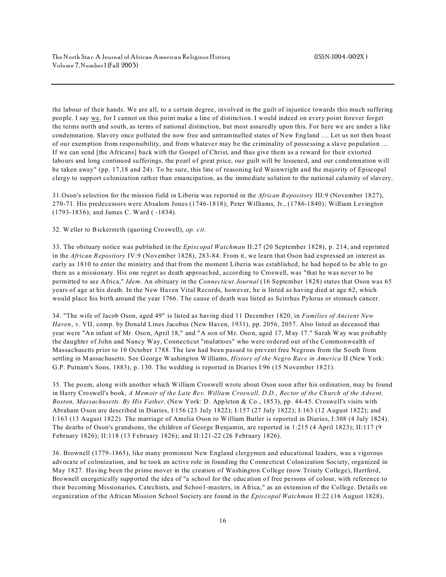the labour of their hands. We are all, to a certain degree, involved in the guilt of injustice towards this much suffering people. I say we, for I cannot on this point make a line of distinction. I would indeed on every point forever forget the terms north and south, as terms of national distinction, but most assuredly upon this. For here we are under a like condemnation. Slavery once polluted the now free and untrammelled states of New England .... Let us not then boast of our exemption from responsibility, and from whatever may be the criminality of possessing a slave population .... If we can send [the Africans] back with the Gospel of Christ, and thus give them as a reward for their extorted labours and long continued sufferings, the pearl of great price, our guilt will be lessened, and our condemnation will be taken away" (pp. 17,18 and 24). To be sure, this line of reasoning led Wainwright and the majority of Episcopal clergy to support colonization rather than emancipation, as the immediate solution to the national calamity of slavery.

31.Oson's selection for the mission field in Liberia was reported in the *African Repository* III:9 (November 1827), 270-71. His predecessors were Absalom Jones (1746-1818); Peter Williams, Jr., (1786-1840); William Levington (1793-1836); and James C. Ward ( -1834).

32. Weller to Bickersteth (quoting Croswell), *op. cit*.

33. The obituary notice was published in the *Episcopal Watchman* II:27 (20 September 1828), p. 214, and reprinted in the *African Repository* IV:9 (November 1828), 283-84. From it, we learn that Oson had expressed an interest as early as 1810 to enter the ministry and that from the moment Liberia was established, he had hoped to be able to go there as a missionary. His one regret as death approached, according to Croswell, was "that he was never to be permitted to see Africa." *Idem*. An obituary in the *Connecticut Journal* (16 September 1828) states that Oson was 65 years of age at his death. In the New Haven Vital Records, however, he is listed as having died at age 62, which would place his birth around the year 1766. The cause of death was listed as Scirrhus Pylorus or stomach cancer.

34. "The wife of Jacob Oson, aged 49" is listed as having died 11 December 1820, in *Families of Ancient New Haven*, v. VII, comp. by Donald Lines Jacobus (New Haven, 1931), pp. 2056, 2057. Also listed as deceased that year were "An infant of Mr. Oson, April 18," and "A son of Mr. Oson, aged 17, May 17." Sarah Way was probably the daughter of John and Nancy Way, Connecticut "mulattoes" who were ordered out of the Commonwealth of Massachusetts prior to 10 October 1788. The law had been passed to prevent free Negroes from the South from settling in Massachusetts. See George Washington Williams, *History of the Negro Race in America* II (New York: G.P. Putnam's Sons, 1883), p. 130. The wedding is reported in Diaries I:96 (15 November 1821).

35. The poem, along with another which William Croswell wrote about Oson soon after his ordination, may be found in Harry Croswell's book, *A Memoir of the Late Rev. William Croswell, D.D., Rector of the Church of the Advent, Boston, Massachusetts. By His Father*. (New York: D. Appleton & Co., 1853), pp. 44-45. Croswell's visits with Abraham Oson are described in Diaries, I:156 (23 July 1822); I:157 (27 July 1822); I:163 (12 August 1822); and I:163 (13 August 1822). The marriage of Amelia Oson to William Butler is reported in Diaries, I:308 (4 July 1824). The deaths of Oson's grandsons, the children of George Benjamin, are reported in 1:215 (4 April 1823); II:117 (9 February 1826); II:118 (13 February 1826); and II:121-22 (26 February 1826).

36. Brownell (1779-1865), like many prominent New England clergymen and educational leaders, was a vigorous advocate of colonization, and he took an active role in founding the Connecticut Colonization Society, organized in May 1827. Having been the prime mover in the creation of Washington College (now Trinity College), Hartford, Brownell energetically supported the idea of "a school for the education of free persons of colour, with reference to their becoming Missionaries, Catechists, and Schoo1-masters, in Africa," as an extension of the College. Details on organization of the African Mission School Society are found in the *Episcopal Watchman* II:22 (16 August 1828),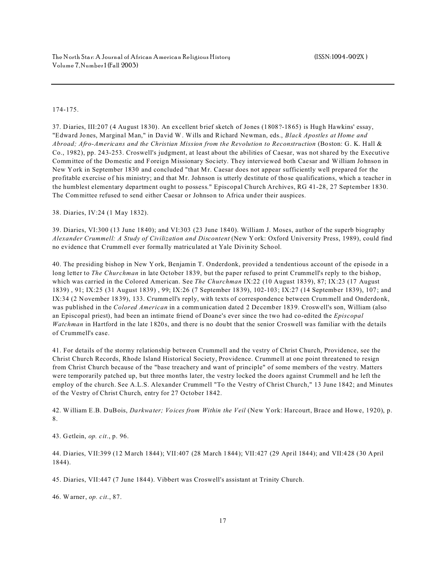## 174-175.

37. Diaries, III:207 (4 August 1830). An excellent brief sketch of Jones (1808?-1865) is Hugh Hawkins' essay, "Edward Jones, Marginal Man," in David W. Wills and Richard Newman, eds., *Black Apostles at Home and Abroad; Afro-Americans and the Christian Mission from the Revolution to Reconstruction* (Boston: G. K. Hall & Co., 1982), pp. 243-253. Croswell's judgment, at least about the abilities of Caesar, was not shared by the Executive Committee of the Domestic and Foreign Missionary Society. They interviewed both Caesar and William Johnson in New York in September 1830 and concluded "that Mr. Caesar does not appear sufficiently well prepared for the profitable exercise of his ministry; and that Mr. Johnson is utterly destitute of those qualifications, which a teacher in the humblest elementary department ought to possess." Episcopal Church Archives, RG 41-28, 27 September 1830. The Committee refused to send either Caesar or Johnson to Africa under their auspices.

38. Diaries, IV:24 (1 May 1832).

39. Diaries, VI:300 (13 June 1840); and VI:303 (23 June 1840). William J. Moses, author of the superb biography *Alexander Crummell: A Study of Civilization and Discontent* (New York: Oxford University Press, 1989), could find no evidence that Crummell ever formally matriculated at Yale Divinity School.

40. The presiding bishop in New York, Benjamin T. Onderdonk, provided a tendentious account of the episode in a long letter to *The Churchman* in late October 1839, but the paper refused to print Crummell's reply to the bishop, which was carried in the Colored American. See *The Churchman* IX:22 (10 August 1839), 87; IX:23 (17 August 1839) , 91; IX:25 (31 August 1839) , 99; IX:26 (7 September 1839), 102-103; IX:27 (14 September 1839), 107; and IX:34 (2 November 1839), 133. Crummell's reply, with texts of correspondence between Crummell and Onderdonk, was published in the *Colored American* in a communication dated 2 December 1839. Croswell's son, William (also an Episcopal priest), had been an intimate friend of Doane's ever since the two had co-edited the *Episcopal Watchman* in Hartford in the late 1820s, and there is no doubt that the senior Croswell was familiar with the details of Crummell's case.

41. For details of the stormy relationship between Crummell and the vestry of Christ Church, Providence, see the Christ Church Records, Rhode Island Historical Society, Providence. Crummell at one point threatened to resign from Christ Church because of the "base treachery and want of principle" of some members of the vestry. Matters were temporarily patched up, but three months later, the vestry locked the doors against Crummell and he left the employ of the church. See A.L.S. Alexander Crummell "To the Vestry of Christ Church," 13 June 1842; and Minutes of the Vestry of Christ Church, entry for 27 October 1842.

42. William E.B. DuBois, *Darkwater; Voices from Within the Veil* (New York: Harcourt, Brace and Howe, 1920), p. 8.

43. Getlein, *op. cit*., p. 96.

44. Diaries, VII:399 (12 March 1844); VII:407 (28 March 1844); VII:427 (29 April 1844); and VII:428 (30 April 1844).

45. Diaries, VII:447 (7 June 1844). Vibbert was Croswell's assistant at Trinity Church.

46. Warner, *op. cit*., 87.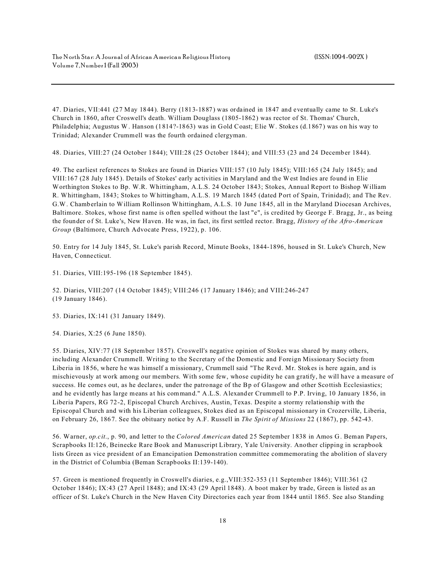47. Diaries, VII:441 (27 May 1844). Berry (1813-1887) was ordained in 1847 and eventually came to St. Luke's Church in 1860, after Croswell's death. William Douglass (1805-1862) was rector of St. Thomas' Church, Philadelphia; Augustus W. Hanson (1814?-1863) was in Gold Coast; Elie W. Stokes (d.1867) was on his way to Trinidad; Alexander Crummell was the fourth ordained clergyman.

48. Diaries, VIII:27 (24 October 1844); VIII:28 (25 October 1844); and VIII:53 (23 and 24 December 1844).

49. The earliest references to Stokes are found in Diaries VIII:157 (10 July 1845); VIII:165 (24 July 1845); and VIII:167 (28 July 1845). Details of Stokes' early activities in Maryland and the West Indies are found in Elie Worthington Stokes to Bp. W.R. Whittingham, A.L.S. 24 October 1843; Stokes, Annual Report to Bishop William R. Whittingham, 1843; Stokes to Whittingham, A.L.S. 19 March 1845 (dated Port of Spain, Trinidad); and The Rev. G.W. Chamberlain to William Rollinson Whittingham, A.L.S. 10 June 1845, all in the Maryland Diocesan Archives, Baltimore. Stokes, whose first name is often spelled without the last "e", is credited by George F. Bragg, Jr., as being the founder of St. Luke's, New Haven. He was, in fact, its first settled rector. Bragg, *History of the Afro-American Group* (Baltimore, Church Advocate Press, 1922), p. 106.

50. Entry for 14 July 1845, St. Luke's parish Record, Minute Books, 1844-1896, housed in St. Luke's Church, New Haven, Connecticut.

51. Diaries, VIII:195-196 (18 September 1845).

52. Diaries, VIII:207 (14 October 1845); VIII:246 (17 January 1846); and VIII:246-247 (19 January 1846).

53. Diaries, IX:141 (31 January 1849).

54. Diaries, X:25 (6 June 1850).

55. Diaries, XIV:77 (18 September 1857). Croswell's negative opinion of Stokes was shared by many others, including Alexander Crummell. Writing to the Secretary of the Domestic and Foreign Missionary Society from Liberia in 1856, where he was himself a missionary, Crummell said "The Revd. Mr. Stokes is here again, and is mischievously at work among our members. With some few, whose cupidity he can gratify, he will have a measure of success. He comes out, as he declares, under the patronage of the Bp of Glasgow and other Scottish Ecclesiastics; and he evidently has large means at his command." A.L.S. Alexander Crummell to P.P. Irving, 10 January 1856, in Liberia Papers, RG 72-2, Episcopal Church Archives, Austin, Texas. Despite a stormy relationship with the Episcopal Church and with his Liberian colleagues, Stokes died as an Episcopal missionary in Crozerville, Liberia, on February 26, 1867. See the obituary notice by A.F. Russell in *The Spirit of Missions* 22 (1867), pp. 542-43.

56. Warner, *op.cit*., p. 90, and letter to the *Colored American* dated 25 September 1838 in Amos G. Beman Papers, Scrapbooks II:126, Beinecke Rare Book and Manuscript Library, Yale University. Another clipping in scrapbook lists Green as vice president of an Emancipation Demonstration committee commemorating the abolition of slavery in the District of Columbia (Beman Scrapbooks II:139-140).

57. Green is mentioned frequently in Croswell's diaries, e.g.,VIII:352-353 (11 September 1846); VIII:361 (2 October 1846); IX:43 (27 April 1848); and IX:43 (29 April 1848). A boot maker by trade, Green is listed as an officer of St. Luke's Church in the New Haven City Directories each year from 1844 until 1865. See also Standing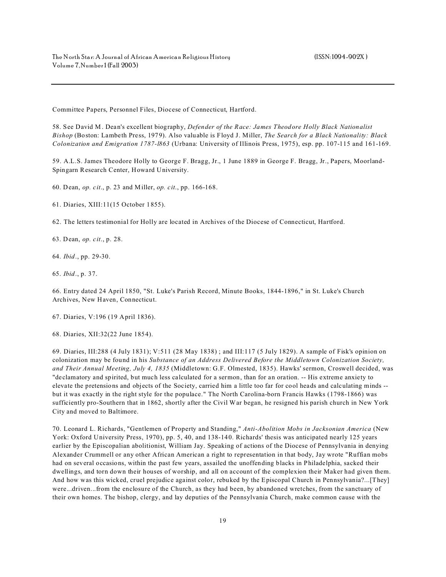Committee Papers, Personnel Files, Diocese of Connecticut, Hartford.

58. See David M. Dean's excellent biography, *Defender of the Race: James Theodore Holly Black Nationalist Bishop* (Boston: Lambeth Press, 1979). Also valuable is Floyd J. Miller, *The Search for a Black Nationality: Black Colonization and Emigration 1787-l863* (Urbana: University of Illinois Press, 1975), esp. pp. 107-115 and 161-169.

59. A.L.S. James Theodore Holly to George F. Bragg, Jr., 1 June 1889 in George F. Bragg, Jr., Papers, Moorland-Spingarn Research Center, Howard University.

60. Dean, *op. cit*., p. 23 and Miller, *op. cit*., pp. 166-168.

61. Diaries, XIII:11(15 October 1855).

62. The letters testimonial for Holly are located in Archives of the Diocese of Connecticut, Hartford.

63. Dean, *op. cit*., p. 28.

64. *Ibid*., pp. 29-30.

65. *Ibid*., p. 37.

66. Entry dated 24 April 1850, "St. Luke's Parish Record, Minute Books, 1844-1896," in St. Luke's Church Archives, New Haven, Connecticut.

67. Diaries, V:196 (19 April 1836).

68. Diaries, XII:32(22 June 1854).

69. Diaries, III:288 (4 July 1831); V:511 (28 May 1838) ; and III:117 (5 July 1829). A sample of Fisk's opinion on colonization may be found in his *Substance of an Address Delivered Before the Middletown Colonization Society, and Their Annual Meeting, July 4, 1835* (Middletown: G.F. Olmested, 1835). Hawks' sermon, Croswell decided, was "declamatory and spirited, but much less calculated for a sermon, than for an oration. -- His extreme anxiety to elevate the pretensions and objects of the Society, carried him a little too far for cool heads and calculating minds - but it was exactly in the right style for the populace." The North Carolina-born Francis Hawks (1798-1866) was sufficiently pro-Southern that in 1862, shortly after the Civil War began, he resigned his parish church in New York City and moved to Baltimore.

70. Leonard L. Richards, "Gentlemen of Property and Standing," *Anti-Abolition Mobs in Jacksonian America* (New York: Oxford University Press, 1970), pp. 5, 40, and 138-140. Richards' thesis was anticipated nearly 125 years earlier by the Episcopalian abolitionist, William Jay. Speaking of actions of the Diocese of Pennsylvania in denying Alexander Crummell or any other African American a right to representation in that body, Jay wrote "Ruffian mobs had on several occasions, within the past few years, assailed the unoffending blacks in Philadelphia, sacked their dwellings, and torn down their houses of worship, and all on account of the complexion their Maker had given them. And how was this wicked, cruel prejudice against color, rebuked by the Episcopal Church in Pennsylvania?...[They] were...driven...from the enclosure of the Church, as they had been, by abandoned wretches, from the sanctuary of their own homes. The bishop, clergy, and lay deputies of the Pennsylvania Church, make common cause with the